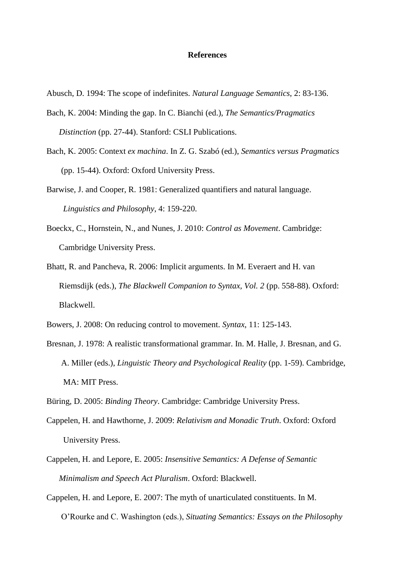## **References**

- Abusch, D. 1994: The scope of indefinites. *Natural Language Semantics*, 2: 83-136.
- Bach, K. 2004: Minding the gap. In C. Bianchi (ed.), *The Semantics/Pragmatics Distinction* (pp. 27-44). Stanford: CSLI Publications.
- Bach, K. 2005: Context *ex machina*. In Z. G. Szabó (ed.), *Semantics versus Pragmatics*  (pp. 15-44). Oxford: Oxford University Press.
- Barwise, J. and Cooper, R. 1981: Generalized quantifiers and natural language. *Linguistics and Philosophy*, 4: 159-220.
- Boeckx, C., Hornstein, N., and Nunes, J. 2010: *Control as Movement*. Cambridge: Cambridge University Press.
- Bhatt, R. and Pancheva, R. 2006: Implicit arguments. In M. Everaert and H. van Riemsdijk (eds.), *The Blackwell Companion to Syntax, Vol. 2* (pp. 558-88). Oxford: Blackwell.
- Bowers, J. 2008: On reducing control to movement. *Syntax*, 11: 125-143.
- Bresnan, J. 1978: A realistic transformational grammar. In. M. Halle, J. Bresnan, and G. A. Miller (eds.), *Linguistic Theory and Psychological Reality* (pp. 1-59). Cambridge, MA: MIT Press.
- Büring, D. 2005: *Binding Theory*. Cambridge: Cambridge University Press.
- Cappelen, H. and Hawthorne, J. 2009: *Relativism and Monadic Truth*. Oxford: Oxford University Press.
- Cappelen, H. and Lepore, E. 2005: *Insensitive Semantics: A Defense of Semantic Minimalism and Speech Act Pluralism*. Oxford: Blackwell.
- Cappelen, H. and Lepore, E. 2007: The myth of unarticulated constituents. In M. O'Rourke and C. Washington (eds.), *Situating Semantics: Essays on the Philosophy*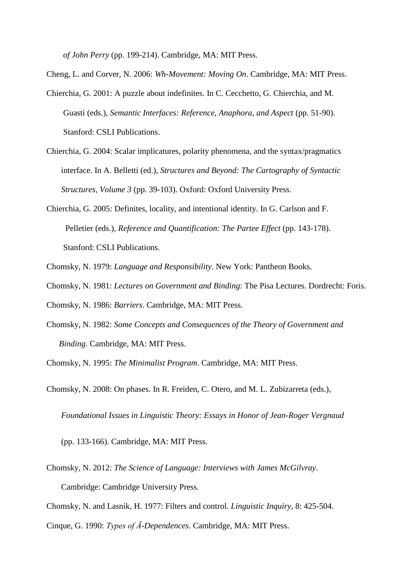*of John Perry* (pp. 199-214). Cambridge, MA: MIT Press.

Cheng, L. and Corver, N. 2006: *Wh-Movement: Moving On*. Cambridge, MA: MIT Press.

- Chierchia, G. 2001: A puzzle about indefinites. In C. Cecchetto, G. Chierchia, and M. Guasti (eds.), *Semantic Interfaces: Reference, Anaphora, and Aspect* (pp. 51-90). Stanford: CSLI Publications.
- Chierchia, G. 2004: Scalar implicatures, polarity phenomena, and the syntax/pragmatics interface. In A. Belletti (ed.), *Structures and Beyond: The Cartography of Syntactic Structures, Volume 3* (pp. 39-103). Oxford: Oxford University Press.
- Chierchia, G. 2005: Definites, locality, and intentional identity. In G. Carlson and F. Pelletier (eds.), *Reference and Quantification: The Partee Effect* (pp. 143-178). Stanford: CSLI Publications.
- Chomsky, N. 1979: *Language and Responsibility*. New York: Pantheon Books.
- Chomsky, N. 1981: *Lectures on Government and Binding*: The Pisa Lectures. Dordrecht: Foris.
- Chomsky, N. 1986: *Barriers*. Cambridge, MA: MIT Press.
- Chomsky, N. 1982: *Some Concepts and Consequences of the Theory of Government and Binding*. Cambridge, MA: MIT Press.
- Chomsky, N. 1995: *The Minimalist Program*. Cambridge, MA: MIT Press.
- Chomsky, N. 2008: On phases. In R. Freiden, C. Otero, and M. L. Zubizarreta (eds.), *Foundational Issues in Linguistic Theory: Essays in Honor of Jean-Roger Vergnaud*

(pp. 133-166). Cambridge, MA: MIT Press.

Chomsky, N. 2012: *The Science of Language: Interviews with James McGilvray*. Cambridge: Cambridge University Press.

Chomsky, N. and Lasnik, H. 1977: Filters and control. *Linguistic Inquiry*, 8: 425-504.

Cinque, G. 1990: *Types of Ā-Dependences*. Cambridge, MA: MIT Press.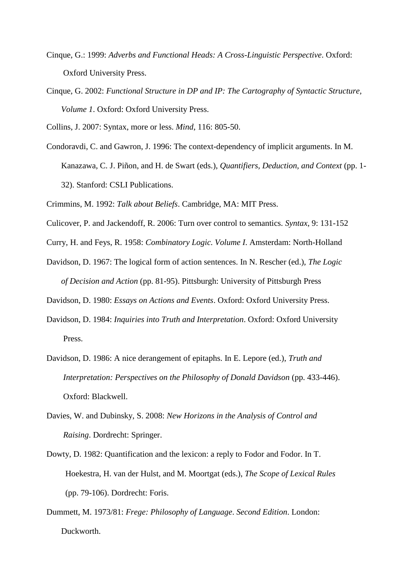- Cinque, G.: 1999: *Adverbs and Functional Heads: A Cross-Linguistic Perspective*. Oxford: Oxford University Press.
- Cinque, G. 2002: *Functional Structure in DP and IP: The Cartography of Syntactic Structure, Volume 1*. Oxford: Oxford University Press.

Collins, J. 2007: Syntax, more or less. *Mind*, 116: 805-50.

Condoravdi, C. and Gawron, J. 1996: The context-dependency of implicit arguments. In M. Kanazawa, C. J. Piñon, and H. de Swart (eds.), *Quantifiers, Deduction, and Context* (pp. 1- 32). Stanford: CSLI Publications.

Crimmins, M. 1992: *Talk about Beliefs*. Cambridge, MA: MIT Press.

- Culicover, P. and Jackendoff, R. 2006: Turn over control to semantics. *Syntax*, 9: 131-152
- Curry, H. and Feys, R. 1958: *Combinatory Logic. Volume I*. Amsterdam: North-Holland
- Davidson, D. 1967: The logical form of action sentences. In N. Rescher (ed.), *The Logic of Decision and Action* (pp. 81-95). Pittsburgh: University of Pittsburgh Press
- Davidson, D. 1980: *Essays on Actions and Events*. Oxford: Oxford University Press.
- Davidson, D. 1984: *Inquiries into Truth and Interpretation*. Oxford: Oxford University Press.
- Davidson, D. 1986: A nice derangement of epitaphs. In E. Lepore (ed.), *Truth and Interpretation: Perspectives on the Philosophy of Donald Davidson* (pp. 433-446). Oxford: Blackwell.
- Davies, W. and Dubinsky, S. 2008: *New Horizons in the Analysis of Control and Raising*. Dordrecht: Springer.
- Dowty, D. 1982: Quantification and the lexicon: a reply to Fodor and Fodor. In T. Hoekestra, H. van der Hulst, and M. Moortgat (eds.), *The Scope of Lexical Rules* (pp. 79-106). Dordrecht: Foris.
- Dummett, M. 1973/81: *Frege: Philosophy of Language*. *Second Edition*. London: Duckworth.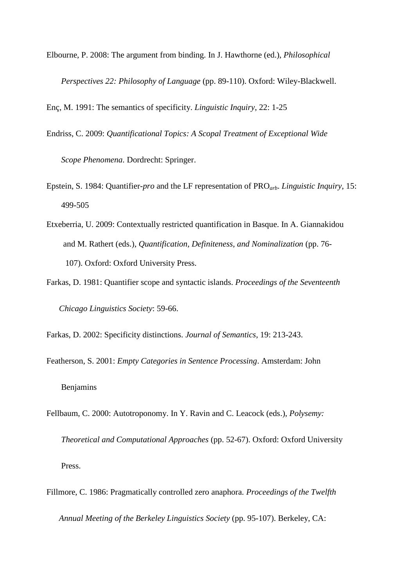Elbourne, P. 2008: The argument from binding. In J. Hawthorne (ed.), *Philosophical Perspectives 22: Philosophy of Language* (pp. 89-110). Oxford: Wiley-Blackwell.

Enç, M. 1991: The semantics of specificity. *Linguistic Inquiry*, 22: 1-25

Endriss, C. 2009: *Quantificational Topics: A Scopal Treatment of Exceptional Wide*

 *Scope Phenomena*. Dordrecht: Springer.

- Epstein, S. 1984: Quantifier-*pro* and the LF representation of PRO*arb*. *Linguistic Inquiry*, 15: 499-505
- Etxeberria, U. 2009: Contextually restricted quantification in Basque. In A. Giannakidou and M. Rathert (eds.), *Quantification, Definiteness, and Nominalization* (pp. 76- 107). Oxford: Oxford University Press.
- Farkas, D. 1981: Quantifier scope and syntactic islands. *Proceedings of the Seventeenth Chicago Linguistics Society*: 59-66.

Farkas, D. 2002: Specificity distinctions. *Journal of Semantics*, 19: 213-243.

Featherson, S. 2001: *Empty Categories in Sentence Processing*. Amsterdam: John Benjamins

- Fellbaum, C. 2000: Autotroponomy. In Y. Ravin and C. Leacock (eds.), *Polysemy: Theoretical and Computational Approaches* (pp. 52-67). Oxford: Oxford University Press.
- Fillmore, C. 1986: Pragmatically controlled zero anaphora. *Proceedings of the Twelfth Annual Meeting of the Berkeley Linguistics Society* (pp. 95-107). Berkeley, CA: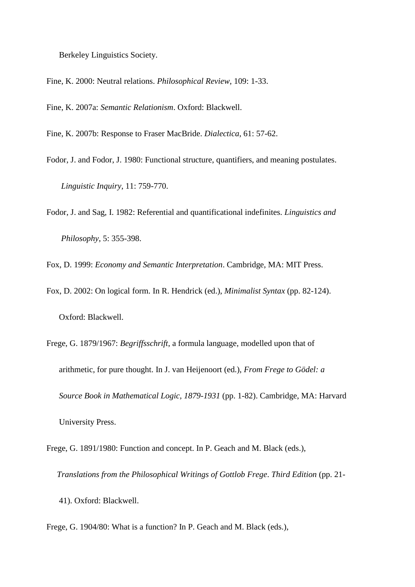Berkeley Linguistics Society.

Fine, K. 2000: Neutral relations. *Philosophical Review*, 109: 1-33.

Fine, K. 2007a: *Semantic Relationism*. Oxford: Blackwell.

Fine, K. 2007b: Response to Fraser MacBride. *Dialectica*, 61: 57-62.

Fodor, J. and Fodor, J. 1980: Functional structure, quantifiers, and meaning postulates. *Linguistic Inquiry*, 11: 759-770.

Fodor, J. and Sag, I. 1982: Referential and quantificational indefinites. *Linguistics and Philosophy*, 5: 355-398.

Fox, D. 1999: *Economy and Semantic Interpretation*. Cambridge, MA: MIT Press.

Fox, D. 2002: On logical form. In R. Hendrick (ed.), *Minimalist Syntax* (pp. 82-124). Oxford: Blackwell.

Frege, G. 1879/1967: *Begriffsschrift*, a formula language, modelled upon that of arithmetic, for pure thought. In J. van Heijenoort (ed.), *From Frege to Gödel: a Source Book in Mathematical Logic, 1879-1931* (pp. 1-82). Cambridge, MA: Harvard University Press.

Frege, G. 1891/1980: Function and concept. In P. Geach and M. Black (eds.), *Translations from the Philosophical Writings of Gottlob Frege*. *Third Edition* (pp. 21-

41). Oxford: Blackwell.

Frege, G. 1904/80: What is a function? In P. Geach and M. Black (eds.),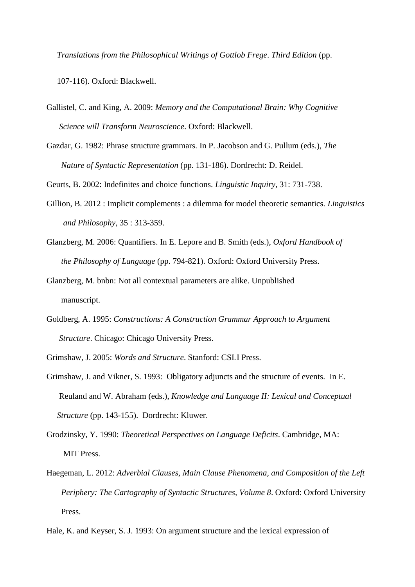*Translations from the Philosophical Writings of Gottlob Frege*. *Third Edition* (pp.

107-116). Oxford: Blackwell.

- Gallistel, C. and King, A. 2009: *Memory and the Computational Brain: Why Cognitive Science will Transform Neuroscience*. Oxford: Blackwell.
- Gazdar, G. 1982: Phrase structure grammars. In P. Jacobson and G. Pullum (eds.), *The Nature of Syntactic Representation* (pp. 131-186). Dordrecht: D. Reidel.
- Geurts, B. 2002: Indefinites and choice functions. *Linguistic Inquiry*, 31: 731-738.
- Gillion, B. 2012 : Implicit complements : a dilemma for model theoretic semantics*. Linguistics and Philosophy*, 35 : 313-359.
- Glanzberg, M. 2006: Quantifiers. In E. Lepore and B. Smith (eds.), *Oxford Handbook of the Philosophy of Language* (pp. 794-821). Oxford: Oxford University Press.
- Glanzberg, M. bnbn: Not all contextual parameters are alike. Unpublished manuscript.
- Goldberg, A. 1995: *Constructions: A Construction Grammar Approach to Argument Structure*. Chicago: Chicago University Press.
- Grimshaw, J. 2005: *Words and Structure*. Stanford: CSLI Press.
- Grimshaw, J. and Vikner, S. 1993: Obligatory adjuncts and the structure of events. In E. Reuland and W. Abraham (eds.), *Knowledge and Language II: Lexical and Conceptual Structure* (pp. 143-155). Dordrecht: Kluwer.
- Grodzinsky, Y. 1990: *Theoretical Perspectives on Language Deficits*. Cambridge, MA: MIT Press.
- Haegeman, L. 2012: *Adverbial Clauses, Main Clause Phenomena, and Composition of the Left Periphery: The Cartography of Syntactic Structures, Volume 8*. Oxford: Oxford University Press.
- Hale, K. and Keyser, S. J. 1993: On argument structure and the lexical expression of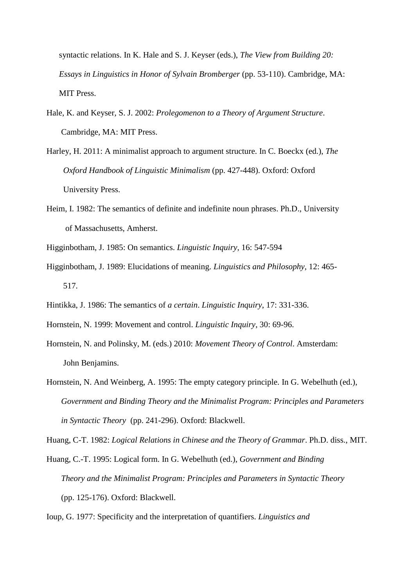syntactic relations. In K. Hale and S. J. Keyser (eds.), *The View from Building 20: Essays in Linguistics in Honor of Sylvain Bromberger* (pp. 53-110). Cambridge, MA: MIT Press.

- Hale, K. and Keyser, S. J. 2002: *Prolegomenon to a Theory of Argument Structure*. Cambridge, MA: MIT Press.
- Harley, H. 2011: A minimalist approach to argument structure. In C. Boeckx (ed.), *The Oxford Handbook of Linguistic Minimalism* (pp. 427-448). Oxford: Oxford University Press.
- Heim, I. 1982: The semantics of definite and indefinite noun phrases. Ph.D., University of Massachusetts, Amherst.
- Higginbotham, J. 1985: On semantics. *Linguistic Inquiry*, 16: 547-594
- Higginbotham, J. 1989: Elucidations of meaning. *Linguistics and Philosophy*, 12: 465- 517.
- Hintikka, J. 1986: The semantics of *a certain*. *Linguistic Inquiry*, 17: 331-336.
- Hornstein, N. 1999: Movement and control. *Linguistic Inquiry*, 30: 69-96.
- Hornstein, N. and Polinsky, M. (eds.) 2010: *Movement Theory of Control*. Amsterdam: John Benjamins.
- Hornstein, N. And Weinberg, A. 1995: The empty category principle. In G. Webelhuth (ed.), *Government and Binding Theory and the Minimalist Program: Principles and Parameters in Syntactic Theory* (pp. 241-296). Oxford: Blackwell.

Huang, C-T. 1982: *Logical Relations in Chinese and the Theory of Grammar*. Ph.D. diss., MIT.

Huang, C.-T. 1995: Logical form. In G. Webelhuth (ed.), *Government and Binding Theory and the Minimalist Program: Principles and Parameters in Syntactic Theory* (pp. 125-176). Oxford: Blackwell.

Ioup, G. 1977: Specificity and the interpretation of quantifiers. *Linguistics and*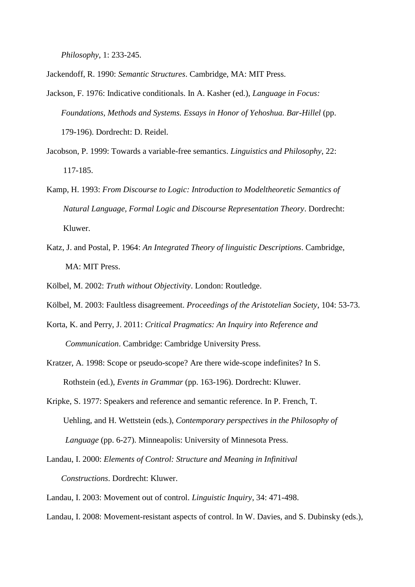*Philosophy*, 1: 233-245.

Jackendoff, R. 1990: *Semantic Structures*. Cambridge, MA: MIT Press.

- Jackson, F. 1976: Indicative conditionals. In A. Kasher (ed.), *Language in Focus: Foundations, Methods and Systems. Essays in Honor of Yehoshua. Bar-Hillel* (pp. 179-196). Dordrecht: D. Reidel.
- Jacobson, P. 1999: Towards a variable-free semantics. *Linguistics and Philosophy*, 22: 117-185.
- Kamp, H. 1993: *From Discourse to Logic: Introduction to Modeltheoretic Semantics of Natural Language, Formal Logic and Discourse Representation Theory*. Dordrecht: Kluwer.
- Katz, J. and Postal, P. 1964: *An Integrated Theory of linguistic Descriptions*. Cambridge, MA: MIT Press.
- Kölbel, M. 2002: *Truth without Objectivity*. London: Routledge.
- Kölbel, M. 2003: Faultless disagreement. *Proceedings of the Aristotelian Society*, 104: 53-73.
- Korta, K. and Perry, J. 2011: *Critical Pragmatics: An Inquiry into Reference and Communication*. Cambridge: Cambridge University Press.
- Kratzer, A. 1998: Scope or pseudo-scope? Are there wide-scope indefinites? In S. Rothstein (ed.), *Events in Grammar* (pp. 163-196). Dordrecht: Kluwer.
- Kripke, S. 1977: Speakers and reference and semantic reference. In P. French, T. Uehling, and H. Wettstein (eds.), *Contemporary perspectives in the Philosophy of Language* (pp. 6-27). Minneapolis: University of Minnesota Press.
- Landau, I. 2000: *Elements of Control: Structure and Meaning in Infinitival Constructions*. Dordrecht: Kluwer.

Landau, I. 2003: Movement out of control. *Linguistic Inquiry*, 34: 471-498.

Landau, I. 2008: Movement-resistant aspects of control. In W. Davies, and S. Dubinsky (eds.),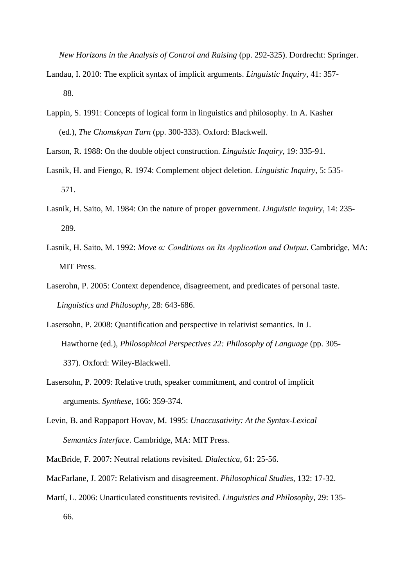*New Horizons in the Analysis of Control and Raising* (pp. 292-325). Dordrecht: Springer.

- Landau, I. 2010: The explicit syntax of implicit arguments. *Linguistic Inquiry*, 41: 357- 88.
- Lappin, S. 1991: Concepts of logical form in linguistics and philosophy. In A. Kasher (ed.), *The Chomskyan Turn* (pp. 300-333). Oxford: Blackwell.
- Larson, R. 1988: On the double object construction. *Linguistic Inquiry*, 19: 335-91.
- Lasnik, H. and Fiengo, R. 1974: Complement object deletion. *Linguistic Inquiry*, 5: 535- 571.
- Lasnik, H. Saito, M. 1984: On the nature of proper government. *Linguistic Inquiry*, 14: 235- 289.
- Lasnik, H. Saito, M. 1992: *Move α: Conditions on Its Application and Output*. Cambridge, MA: MIT Press.
- Laserohn, P. 2005: Context dependence, disagreement, and predicates of personal taste.  *Linguistics and Philosophy*, 28: 643-686.
- Lasersohn, P. 2008: Quantification and perspective in relativist semantics. In J. Hawthorne (ed.), *Philosophical Perspectives 22: Philosophy of Language* (pp. 305- 337). Oxford: Wiley-Blackwell.
- Lasersohn, P. 2009: Relative truth, speaker commitment, and control of implicit arguments. *Synthese*, 166: 359-374.
- Levin, B. and Rappaport Hovav, M. 1995: *Unaccusativity: At the Syntax-Lexical Semantics Interface*. Cambridge, MA: MIT Press.
- MacBride, F. 2007: Neutral relations revisited. *Dialectica*, 61: 25-56.
- MacFarlane, J. 2007: Relativism and disagreement. *Philosophical Studies*, 132: 17-32.
- Martí, L. 2006: Unarticulated constituents revisited. *Linguistics and Philosophy*, 29: 135- 66.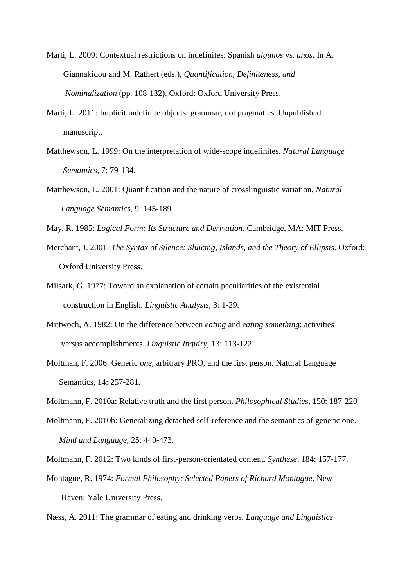- Martí, L. 2009: Contextual restrictions on indefinites: Spanish *algunos* vs. *unos*. In A. Giannakidou and M. Rathert (eds.), *Quantification, Definiteness, and Nominalization* (pp. 108-132). Oxford: Oxford University Press.
- Martí, L. 2011: Implicit indefinite objects: grammar, not pragmatics. Unpublished manuscript.
- Matthewson, L. 1999: On the interpretation of wide-scope indefinites. *Natural Language Semantics*, 7: 79-134.
- Matthewson, L. 2001: Quantification and the nature of crosslinguistic variation. *Natural Language Semantics*, 9: 145-189.

May, R. 1985: *Logical Form: Its Structure and Derivation*. Cambridge, MA: MIT Press.

- Merchant, J. 2001: *The Syntax of Silence: Sluicing, Islands, and the Theory of Ellipsis*. Oxford: Oxford University Press.
- Milsark, G. 1977: Toward an explanation of certain peculiarities of the existential construction in English. *Linguistic Analysis*, 3: 1-29.
- Mittwoch, A. 1982: On the difference between *eating* and *eating something*: activities versus accomplishments. *Linguistic Inquiry*, 13: 113-122.
- Moltman, F. 2006: Generic *one*, arbitrary PRO, and the first person. Natural Language Semantics, 14: 257-281.
- Moltmann, F. 2010a: Relative truth and the first person. *Philosophical Studies*, 150: 187-220
- Moltmann, F. 2010b: Generalizing detached self-reference and the semantics of generic one. *Mind and Language*, 25: 440-473.
- Moltmann, F. 2012: Two kinds of first-person-orientated content. *Synthese*, 184: 157-177.
- Montague, R. 1974: *Formal Philosophy: Selected Papers of Richard Montague*. New Haven: Yale University Press.

Næss, Å. 2011: The grammar of eating and drinking verbs. *Language and Linguistics*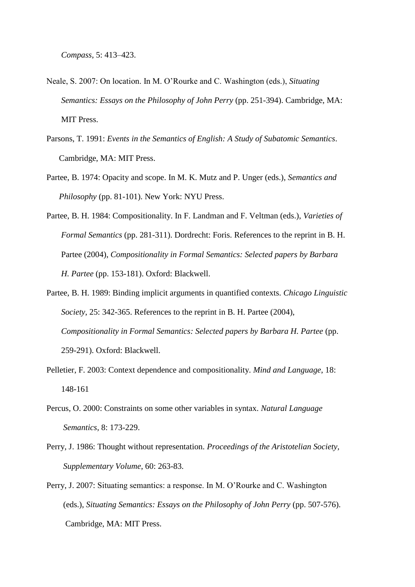- Neale, S. 2007: On location. In M. O'Rourke and C. Washington (eds.), *Situating Semantics: Essays on the Philosophy of John Perry* (pp. 251-394). Cambridge, MA: MIT Press.
- Parsons, T. 1991: *Events in the Semantics of English: A Study of Subatomic Semantics*. Cambridge, MA: MIT Press.
- Partee, B. 1974: Opacity and scope. In M. K. Mutz and P. Unger (eds.), *Semantics and Philosophy* (pp. 81-101). New York: NYU Press.
- Partee, B. H. 1984: Compositionality. In F. Landman and F. Veltman (eds.), *Varieties of Formal Semantics* (pp. 281-311). Dordrecht: Foris. References to the reprint in B. H. Partee (2004), *Compositionality in Formal Semantics: Selected papers by Barbara H. Partee* (pp. 153-181). Oxford: Blackwell.
- Partee, B. H. 1989: Binding implicit arguments in quantified contexts. *Chicago Linguistic Society*, 25: 342-365. References to the reprint in B. H. Partee (2004), *Compositionality in Formal Semantics: Selected papers by Barbara H. Partee* (pp. 259-291). Oxford: Blackwell.
- Pelletier, F. 2003: Context dependence and compositionality. *Mind and Language*, 18: 148-161
- Percus, O. 2000: Constraints on some other variables in syntax. *Natural Language Semantics*, 8: 173-229.
- Perry, J. 1986: Thought without representation. *Proceedings of the Aristotelian Society, Supplementary Volume*, 60: 263-83.
- Perry, J. 2007: Situating semantics: a response. In M. O'Rourke and C. Washington (eds.), *Situating Semantics: Essays on the Philosophy of John Perry* (pp. 507-576). Cambridge, MA: MIT Press.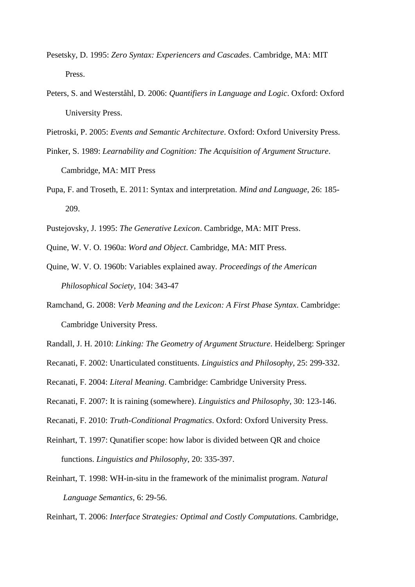- Pesetsky, D. 1995: *Zero Syntax: Experiencers and Cascades*. Cambridge, MA: MIT Press.
- Peters, S. and Westerståhl, D. 2006: *Quantifiers in Language and Logic*. Oxford: Oxford University Press.
- Pietroski, P. 2005: *Events and Semantic Architecture*. Oxford: Oxford University Press.
- Pinker, S. 1989: *Learnability and Cognition: The Acquisition of Argument Structure*. Cambridge, MA: MIT Press
- Pupa, F. and Troseth, E. 2011: Syntax and interpretation. *Mind and Language*, 26: 185- 209.
- Pustejovsky, J. 1995: *The Generative Lexicon*. Cambridge, MA: MIT Press.
- Quine, W. V. O. 1960a: *Word and Object*. Cambridge, MA: MIT Press.
- Quine, W. V. O. 1960b: Variables explained away. *Proceedings of the American Philosophical Society*, 104: 343-47
- Ramchand, G. 2008: *Verb Meaning and the Lexicon: A First Phase Syntax*. Cambridge: Cambridge University Press.
- Randall, J. H. 2010: *Linking: The Geometry of Argument Structure*. Heidelberg: Springer
- Recanati, F. 2002: Unarticulated constituents. *Linguistics and Philosophy*, 25: 299-332.
- Recanati, F. 2004: *Literal Meaning*. Cambridge: Cambridge University Press.
- Recanati, F. 2007: It is raining (somewhere). *Linguistics and Philosophy*, 30: 123-146.
- Recanati, F. 2010: *Truth-Conditional Pragmatics*. Oxford: Oxford University Press.
- Reinhart, T. 1997: Qunatifier scope: how labor is divided between QR and choice functions. *Linguistics and Philosophy*, 20: 335-397.
- Reinhart, T. 1998: WH-in-situ in the framework of the minimalist program. *Natural Language Semantics*, 6: 29-56.

Reinhart, T. 2006: *Interface Strategies: Optimal and Costly Computations*. Cambridge,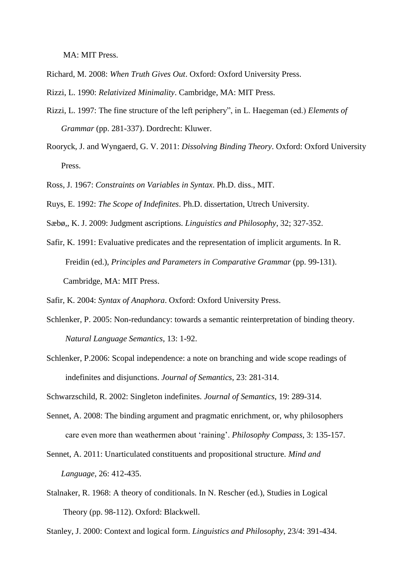MA: MIT Press.

Richard, M. 2008: *When Truth Gives Out*. Oxford: Oxford University Press.

Rizzi, L. 1990: *Relativized Minimality*. Cambridge, MA: MIT Press.

- Rizzi, L. 1997: The fine structure of the left periphery", in L. Haegeman (ed.) *Elements of Grammar* (pp. 281-337). Dordrecht: Kluwer.
- Rooryck, J. and Wyngaerd, G. V. 2011: *Dissolving Binding Theory*. Oxford: Oxford University Press.
- Ross, J. 1967: *Constraints on Variables in Syntax*. Ph.D. diss., MIT.
- Ruys, E. 1992: *The Scope of Indefinites*. Ph.D. dissertation, Utrech University.
- Sæbø,, K. J. 2009: Judgment ascriptions. *Linguistics and Philosophy*, 32; 327-352.
- Safir, K. 1991: Evaluative predicates and the representation of implicit arguments. In R. Freidin (ed.), *Principles and Parameters in Comparative Grammar* (pp. 99-131). Cambridge, MA: MIT Press.

Safir, K. 2004: *Syntax of Anaphora*. Oxford: Oxford University Press.

- Schlenker, P. 2005: Non-redundancy: towards a semantic reinterpretation of binding theory. *Natural Language Semantics*, 13: 1-92.
- Schlenker, P.2006: Scopal independence: a note on branching and wide scope readings of indefinites and disjunctions. *Journal of Semantics*, 23: 281-314.

Schwarzschild, R. 2002: Singleton indefinites. *Journal of Semantics*, 19: 289-314.

- Sennet, A. 2008: The binding argument and pragmatic enrichment, or, why philosophers care even more than weathermen about 'raining'. *Philosophy Compass*, 3: 135-157.
- Sennet, A. 2011: Unarticulated constituents and propositional structure. *Mind and Language*, 26: 412-435.
- Stalnaker, R. 1968: A theory of conditionals. In N. Rescher (ed.), Studies in Logical Theory (pp. 98-112). Oxford: Blackwell.

Stanley, J. 2000: Context and logical form. *Linguistics and Philosophy*, 23/4: 391-434.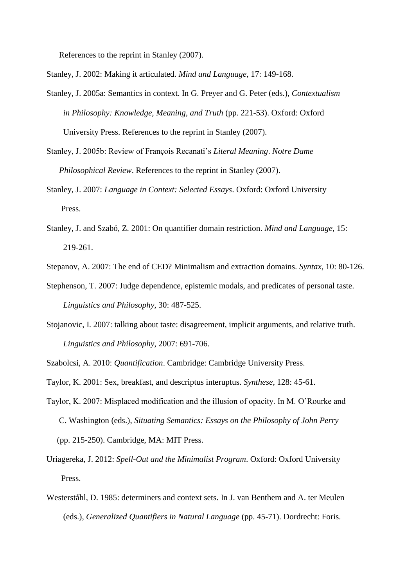References to the reprint in Stanley (2007).

Stanley, J. 2002: Making it articulated. *Mind and Language*, 17: 149-168.

- Stanley, J. 2005a: Semantics in context. In G. Preyer and G. Peter (eds.), *Contextualism in Philosophy: Knowledge, Meaning, and Truth* (pp. 221-53). Oxford: Oxford University Press. References to the reprint in Stanley (2007).
- Stanley, J. 2005b: Review of François Recanati's *Literal Meaning*. *Notre Dame Philosophical Review*. References to the reprint in Stanley (2007).
- Stanley, J. 2007: *Language in Context: Selected Essays*. Oxford: Oxford University Press.
- Stanley, J. and Szabó, Z. 2001: On quantifier domain restriction. *Mind and Language*, 15: 219-261.
- Stepanov, A. 2007: The end of CED? Minimalism and extraction domains. *Syntax*, 10: 80-126.
- Stephenson, T. 2007: Judge dependence, epistemic modals, and predicates of personal taste.  *Linguistics and Philosophy*, 30: 487-525.
- Stojanovic, I. 2007: talking about taste: disagreement, implicit arguments, and relative truth. *Linguistics and Philosophy*, 2007: 691-706.
- Szabolcsi, A. 2010: *Quantification*. Cambridge: Cambridge University Press.

Taylor, K. 2001: Sex, breakfast, and descriptus interuptus. *Synthese*, 128: 45-61.

- Taylor, K. 2007: Misplaced modification and the illusion of opacity. In M. O'Rourke and C. Washington (eds.), *Situating Semantics: Essays on the Philosophy of John Perry* (pp. 215-250). Cambridge, MA: MIT Press.
- Uriagereka, J. 2012: *Spell-Out and the Minimalist Program*. Oxford: Oxford University Press.
- Westerståhl, D. 1985: determiners and context sets. In J. van Benthem and A. ter Meulen (eds.), *Generalized Quantifiers in Natural Language* (pp. 45-71). Dordrecht: Foris.